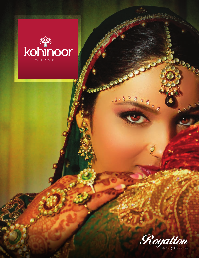

**COOPERAGEMENT** 

 $280.5$ 

Ð

Ă

And

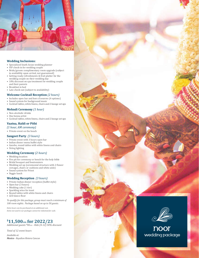

#### **Wedding Inclusions:**

- Specialized South Asian wedding planner
- VIP check-in for wedding couple
- Bride/groom complimentary room upgrade (subject to availablity upon arrival, not guaranteed)
- Getting ready refreshments & fruit platter for the wedding couple on their wedding day
- 10% discount on spa treatment for wedding couple and their parents
- Breakfast in bed
- Late check-out (subject to availability)

#### **Welcome Cocktail Reception** *(2 hours)*

- Includes open bar and hors d'oeuvres (4 options)
- Sound system for background music
- Cocktail tables, white linens, chairs and 2 lounge set ups

#### **Mehndi Ceremony** *(1 hour)*

- Non-alcoholic drinks
- One henna artist
- Cocktail tables, white linens, chairs and 2 lounge set ups

### **Vaatna, Haldi or Pithi**

### *(1 hour, AM ceremony)*

• Private event on the beach

#### **Sangeet Party** *(3 hours)*

- Private event with 3 hours open bar
- Indian dinner menu buffet style
- Gazebo, round tables with white linens and chairs
- String lighting

#### **Wedding Ceremony** *(2 hours)*

- Wedding location
- Fire pit for ceremony or bench for the holy bible
- Bridal bouquet and boutonniere
- Wedding set up (ceremonial structure with 2 flower corsages, chairs or cushions and white aisle) • Sound system for Priest
- Veggie lunch

#### **Wedding Reception** *(3 hours)*

- Private Indian dinner reception (buffet style)
- Open bar (3 hours)<br>• Wedding cake (1 tie
- Wedding cake (1 tier)
- Sparkling wine for toast
- Round tables with white linens and chairs
- LED dance floor

*To qualify for this package, group must reach a minimum of 100 room nights. Package based on up to 50 guests.* 

*Extra hours can be purchased at an additional cost. Items not used in our packages cannot be redeemed for cash.*

# $$11,500$ <sub>USD</sub> for 2022/23<br>Additional guests <sup>\$90</sup>USD - Kids (4-12) 50% discount

*Total of 12 event hours Available at: Mexico - Royalton Riviera Cancun*



noor wedding package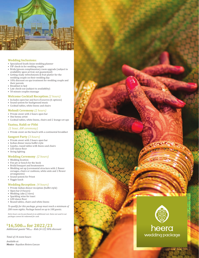

#### **Wedding Inclusions:**

- Specialized South Asian wedding planner
- VIP check-in for wedding couple<br>• Bride/groom complimentary roc
- Bride/groom complimentary room upgrade (subject to availablity upon arrival, not guaranteed)
- Getting ready refreshments & fruit platter for the wedding couple on their wedding day
- 10% discount on spa treatment for wedding couple and their parents
- Breakfast in bed
- Late check-out (subject to availability) • 50 minute couples massage

# **Welcome Cocktail Reception** *(2 hours)*

- Includes open bar and hors d'oeuvres (6 options)
- Sound system for background music
- Cocktail tables, white linens and chairs

#### **Mehndi Ceremony** *(2 hours)*

- Private event with 2 hours open bar
- One henna artist
- Cocktail tables, white linens, chairs and 2 lounge set ups

## **Vaatna, Haldi or Pithi**

- *(1 hour, AM ceremony)*
- Private event on the beach with a continental breakfast

#### **Sangeet Party** *(3 hours)*

- Private event with 3 hours open bar
- Indian dinner menu buffet style
- Gazebo, round tables with linens and chairs
- LED dance floor
- String lighting

#### **Wedding Ceremony** *(2 hours)*

- Wedding location
- Fire pit or bench for the book<br>• Bridal bouquet and boutonnie
- Bridal bouquet and boutonniere
- Wedding set up (ceremonial structure with 2 flower corsages, chairs or cushions, white aisle and 2 flower arrangments)
- Sound system for Priest
- Veggie lunch

#### **Wedding Reception** *(4 hours)*

- Private Indian dinner reception (buffet style)
- Open bar (4 hours)<br>• Wedding cake (2 tie
- Wedding cake (2 tiers)<br>• Sparkling wine for toas
- Sparkling wine for toast
- LED dance floor
- Round tables, chairs and white linens

*To qualify for this package, group must reach a minimum of 200 room nights. Package based on up to 100 guests.*

*Extra hours can be purchased at an additional cost. Items not used in our packages cannot be redeemed for cash.*

# $$16,500$ usp  ${for\,2022/23} \nonumber$ Additional guests <sup>\$90</sup>usp - Kids (4-12) 50% discount

*Total of 14 event hours*

*Available at: Mexico - Royalton Riviera Cancun*



# heera wedding package